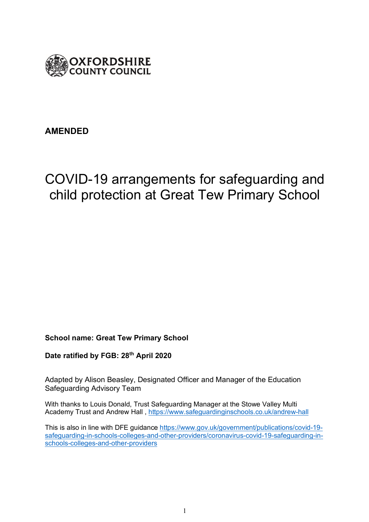

# **AMENDED**

# COVID-19 arrangements for safeguarding and child protection at Great Tew Primary School

#### **School name: Great Tew Primary School**

**Date ratified by FGB: 28th April 2020**

Adapted by Alison Beasley, Designated Officer and Manager of the Education Safeguarding Advisory Team

With thanks to Louis Donald, Trust Safeguarding Manager at the Stowe Valley Multi Academy Trust and Andrew Hall , https://www.safeguardinginschools.co.uk/andrew-hall

This is also in line with DFE guidance https://www.gov.uk/government/publications/covid-19 safeguarding-in-schools-colleges-and-other-providers/coronavirus-covid-19-safeguarding-inschools-colleges-and-other-providers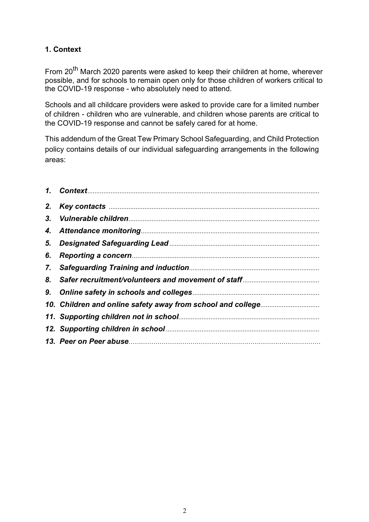# **1. Context**

From 20<sup>th</sup> March 2020 parents were asked to keep their children at home, wherever possible, and for schools to remain open only for those children of workers critical to the COVID-19 response - who absolutely need to attend.

Schools and all childcare providers were asked to provide care for a limited number of children - children who are vulnerable, and children whose parents are critical to the COVID-19 response and cannot be safely cared for at home.

This addendum of the Great Tew Primary School Safeguarding, and Child Protection policy contains details of our individual safeguarding arrangements in the following areas:

| 6. |  |
|----|--|
|    |  |
|    |  |
|    |  |
|    |  |
|    |  |
|    |  |
|    |  |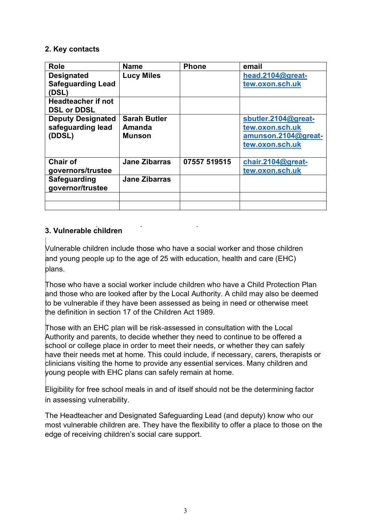#### **2. Key contacts**

| <b>Role</b>                                             | <b>Name</b>                             | <b>Phone</b> | email                                                                            |
|---------------------------------------------------------|-----------------------------------------|--------------|----------------------------------------------------------------------------------|
| <b>Designated</b><br><b>Safeguarding Lead</b><br>(DSL)  | <b>Lucy Miles</b>                       |              | head.2104@great-<br>tew.oxon.sch.uk                                              |
| <b>Headteacher if not</b><br><b>DSL or DDSL</b>         |                                         |              |                                                                                  |
| <b>Deputy Designated</b><br>safeguarding lead<br>(DDSL) | <b>Sarah Butler</b><br>Amanda<br>Munson |              | sbutler.2104@great-<br>tew.oxon.sch.uk<br>amunson.2104@great-<br>tew.oxon.sch.uk |
| <b>Chair of</b><br>governors/trustee                    | <b>Jane Zibarras</b>                    | 07557 519515 | chair.2104@great-<br>tew.oxon.sch.uk                                             |
| Safeguarding<br>governor/trustee                        | <b>Jane Zibarras</b>                    |              |                                                                                  |
|                                                         |                                         |              |                                                                                  |

# **3. Vulnerable children**

Vulnerable children include those who have a social worker and those children and young people up to the age of 25 with education, health and care (EHC) plans.

Those who have a social worker include children who have a Child Protection Plan and those who are looked after by the Local Authority. A child may also be deemed to be vulnerable if they have been assessed as being in need or otherwise meet the definition in section 17 of the Children Act 1989.

Those with an EHC plan will be risk-assessed in consultation with the Local Authority and parents, to decide whether they need to continue to be offered a school or college place in order to meet their needs, or whether they can safely have their needs met at home. This could include, if necessary, carers, therapists or clinicians visiting the home to provide any essential services. Many children and young people with EHC plans can safely remain at home.

Eligibility for free school meals in and of itself should not be the determining factor in assessing vulnerability.

The Headteacher and Designated Safeguarding Lead (and deputy) know who our most vulnerable children are. They have the flexibility to offer a place to those on the edge of receiving children's social care support.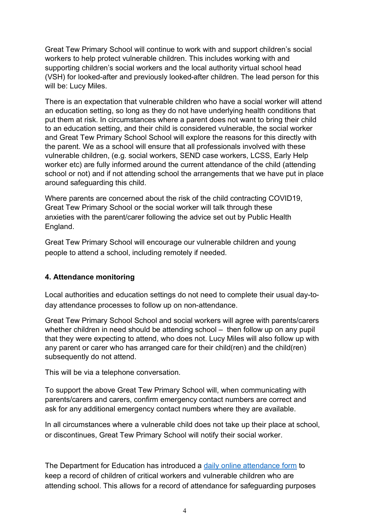Great Tew Primary School will continue to work with and support children's social workers to help protect vulnerable children. This includes working with and supporting children's social workers and the local authority virtual school head (VSH) for looked-after and previously looked-after children. The lead person for this will be: Lucy Miles.

There is an expectation that vulnerable children who have a social worker will attend an education setting, so long as they do not have underlying health conditions that put them at risk. In circumstances where a parent does not want to bring their child to an education setting, and their child is considered vulnerable, the social worker and Great Tew Primary School School will explore the reasons for this directly with the parent. We as a school will ensure that all professionals involved with these vulnerable children, (e.g. social workers, SEND case workers, LCSS, Early Help worker etc) are fully informed around the current attendance of the child (attending school or not) and if not attending school the arrangements that we have put in place around safeguarding this child.

Where parents are concerned about the risk of the child contracting COVID19, Great Tew Primary School or the social worker will talk through these anxieties with the parent/carer following the advice set out by Public Health England.

Great Tew Primary School will encourage our vulnerable children and young people to attend a school, including remotely if needed.

## **4. Attendance monitoring**

Local authorities and education settings do not need to complete their usual day-today attendance processes to follow up on non-attendance.

Great Tew Primary School School and social workers will agree with parents/carers whether children in need should be attending school – then follow up on any pupil that they were expecting to attend, who does not. Lucy Miles will also follow up with any parent or carer who has arranged care for their child(ren) and the child(ren) subsequently do not attend.

This will be via a telephone conversation.

To support the above Great Tew Primary School will, when communicating with parents/carers and carers, confirm emergency contact numbers are correct and ask for any additional emergency contact numbers where they are available.

In all circumstances where a vulnerable child does not take up their place at school, or discontinues, Great Tew Primary School will notify their social worker.

The Department for Education has introduced a daily online attendance form to keep a record of children of critical workers and vulnerable children who are attending school. This allows for a record of attendance for safeguarding purposes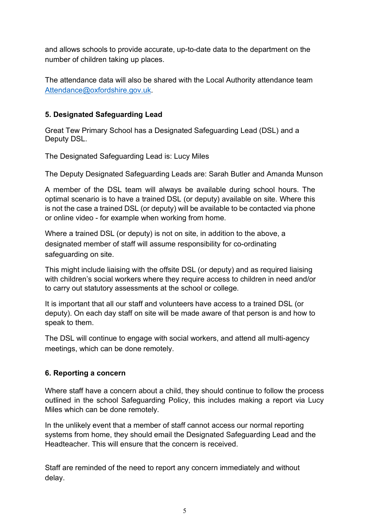and allows schools to provide accurate, up-to-date data to the department on the number of children taking up places.

The attendance data will also be shared with the Local Authority attendance team Attendance@oxfordshire.gov.uk.

## **5. Designated Safeguarding Lead**

Great Tew Primary School has a Designated Safeguarding Lead (DSL) and a Deputy DSL.

The Designated Safeguarding Lead is: Lucy Miles

The Deputy Designated Safeguarding Leads are: Sarah Butler and Amanda Munson

A member of the DSL team will always be available during school hours. The optimal scenario is to have a trained DSL (or deputy) available on site. Where this is not the case a trained DSL (or deputy) will be available to be contacted via phone or online video - for example when working from home.

Where a trained DSL (or deputy) is not on site, in addition to the above, a designated member of staff will assume responsibility for co-ordinating safeguarding on site.

This might include liaising with the offsite DSL (or deputy) and as required liaising with children's social workers where they require access to children in need and/or to carry out statutory assessments at the school or college.

It is important that all our staff and volunteers have access to a trained DSL (or deputy). On each day staff on site will be made aware of that person is and how to speak to them.

The DSL will continue to engage with social workers, and attend all multi-agency meetings, which can be done remotely.

## **6. Reporting a concern**

Where staff have a concern about a child, they should continue to follow the process outlined in the school Safeguarding Policy, this includes making a report via Lucy Miles which can be done remotely.

In the unlikely event that a member of staff cannot access our normal reporting systems from home, they should email the Designated Safeguarding Lead and the Headteacher. This will ensure that the concern is received.

Staff are reminded of the need to report any concern immediately and without delay.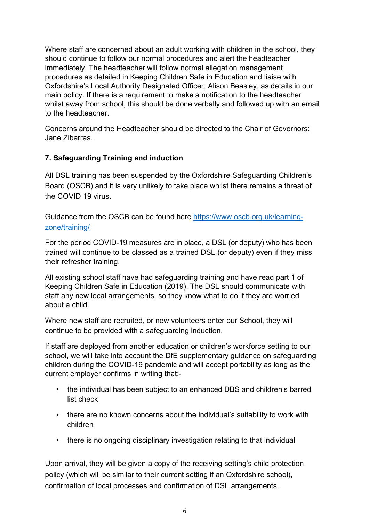Where staff are concerned about an adult working with children in the school, they should continue to follow our normal procedures and alert the headteacher immediately. The headteacher will follow normal allegation management procedures as detailed in Keeping Children Safe in Education and liaise with Oxfordshire's Local Authority Designated Officer; Alison Beasley, as details in our main policy. If there is a requirement to make a notification to the headteacher whilst away from school, this should be done verbally and followed up with an email to the headteacher.

Concerns around the Headteacher should be directed to the Chair of Governors: Jane Zibarras.

## **7. Safeguarding Training and induction**

All DSL training has been suspended by the Oxfordshire Safeguarding Children's Board (OSCB) and it is very unlikely to take place whilst there remains a threat of the COVID 19 virus.

Guidance from the OSCB can be found here https://www.oscb.org.uk/learningzone/training/

For the period COVID-19 measures are in place, a DSL (or deputy) who has been trained will continue to be classed as a trained DSL (or deputy) even if they miss their refresher training.

All existing school staff have had safeguarding training and have read part 1 of Keeping Children Safe in Education (2019). The DSL should communicate with staff any new local arrangements, so they know what to do if they are worried about a child.

Where new staff are recruited, or new volunteers enter our School, they will continue to be provided with a safeguarding induction.

If staff are deployed from another education or children's workforce setting to our school, we will take into account the DfE supplementary guidance on safeguarding children during the COVID-19 pandemic and will accept portability as long as the current employer confirms in writing that:-

- the individual has been subject to an enhanced DBS and children's barred list check
- there are no known concerns about the individual's suitability to work with children
- there is no ongoing disciplinary investigation relating to that individual

Upon arrival, they will be given a copy of the receiving setting's child protection policy (which will be similar to their current setting if an Oxfordshire school), confirmation of local processes and confirmation of DSL arrangements.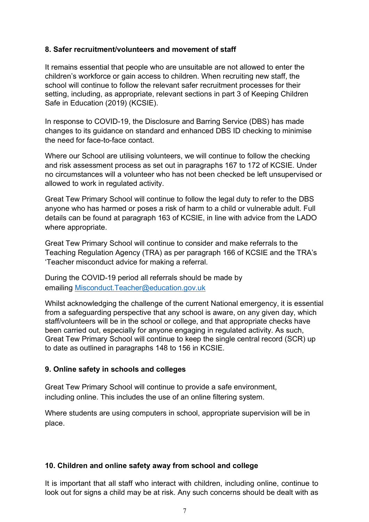#### **8. Safer recruitment/volunteers and movement of staff**

It remains essential that people who are unsuitable are not allowed to enter the children's workforce or gain access to children. When recruiting new staff, the school will continue to follow the relevant safer recruitment processes for their setting, including, as appropriate, relevant sections in part 3 of Keeping Children Safe in Education (2019) (KCSIE).

In response to COVID-19, the Disclosure and Barring Service (DBS) has made changes to its guidance on standard and enhanced DBS ID checking to minimise the need for face-to-face contact.

Where our School are utilising volunteers, we will continue to follow the checking and risk assessment process as set out in paragraphs 167 to 172 of KCSIE. Under no circumstances will a volunteer who has not been checked be left unsupervised or allowed to work in regulated activity.

Great Tew Primary School will continue to follow the legal duty to refer to the DBS anyone who has harmed or poses a risk of harm to a child or vulnerable adult. Full details can be found at paragraph 163 of KCSIE, in line with advice from the LADO where appropriate.

Great Tew Primary School will continue to consider and make referrals to the Teaching Regulation Agency (TRA) as per paragraph 166 of KCSIE and the TRA's 'Teacher misconduct advice for making a referral.

During the COVID-19 period all referrals should be made by emailing Misconduct.Teacher@education.gov.uk

Whilst acknowledging the challenge of the current National emergency, it is essential from a safeguarding perspective that any school is aware, on any given day, which staff/volunteers will be in the school or college, and that appropriate checks have been carried out, especially for anyone engaging in regulated activity. As such, Great Tew Primary School will continue to keep the single central record (SCR) up to date as outlined in paragraphs 148 to 156 in KCSIE.

## **9. Online safety in schools and colleges**

Great Tew Primary School will continue to provide a safe environment, including online. This includes the use of an online filtering system.

Where students are using computers in school, appropriate supervision will be in place.

#### **10. Children and online safety away from school and college**

It is important that all staff who interact with children, including online, continue to look out for signs a child may be at risk. Any such concerns should be dealt with as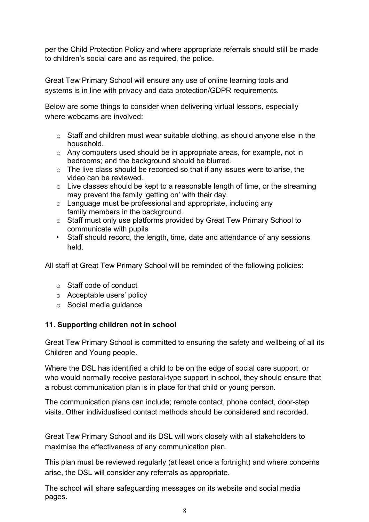per the Child Protection Policy and where appropriate referrals should still be made to children's social care and as required, the police.

Great Tew Primary School will ensure any use of online learning tools and systems is in line with privacy and data protection/GDPR requirements.

Below are some things to consider when delivering virtual lessons, especially where webcams are involved:

- $\circ$  Staff and children must wear suitable clothing, as should anyone else in the household.
- o Any computers used should be in appropriate areas, for example, not in bedrooms; and the background should be blurred.
- o The live class should be recorded so that if any issues were to arise, the video can be reviewed.
- $\circ$  Live classes should be kept to a reasonable length of time, or the streaming may prevent the family 'getting on' with their day.
- o Language must be professional and appropriate, including any family members in the background.
- o Staff must only use platforms provided by Great Tew Primary School to communicate with pupils
- Staff should record, the length, time, date and attendance of any sessions held.

All staff at Great Tew Primary School will be reminded of the following policies:

- o Staff code of conduct
- o Acceptable users' policy
- o Social media guidance

## **11. Supporting children not in school**

Great Tew Primary School is committed to ensuring the safety and wellbeing of all its Children and Young people.

Where the DSL has identified a child to be on the edge of social care support, or who would normally receive pastoral-type support in school, they should ensure that a robust communication plan is in place for that child or young person.

The communication plans can include; remote contact, phone contact, door-step visits. Other individualised contact methods should be considered and recorded.

Great Tew Primary School and its DSL will work closely with all stakeholders to maximise the effectiveness of any communication plan.

This plan must be reviewed regularly (at least once a fortnight) and where concerns arise, the DSL will consider any referrals as appropriate.

The school will share safeguarding messages on its website and social media pages.